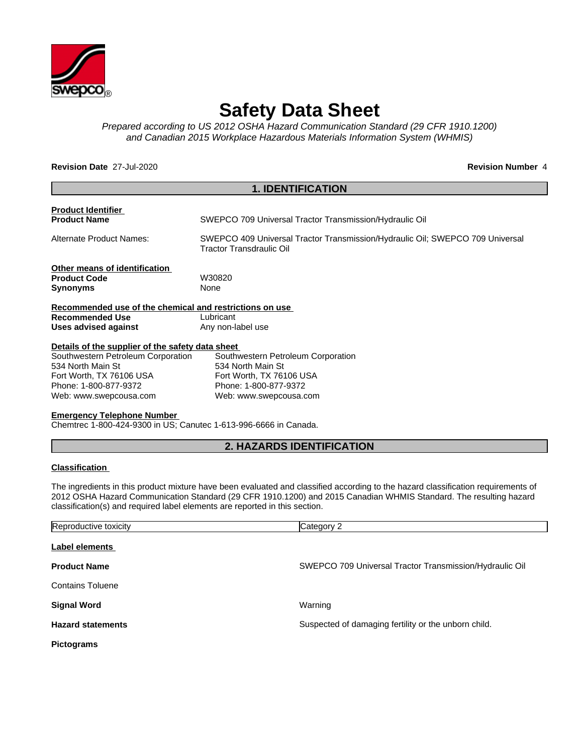

# **Safety Data Sheet**

*Prepared according to US 2012 OSHA Hazard Communication Standard (29 CFR 1910.1200) and Canadian 2015 Workplace Hazardous Materials Information System (WHMIS)*

**Revision Date** 27-Jul-2020 **Revision Number** 4

|                                                         | <b>1. IDENTIFICATION</b>                                                                                  |
|---------------------------------------------------------|-----------------------------------------------------------------------------------------------------------|
| <b>Product Identifier</b>                               |                                                                                                           |
| <b>Product Name</b>                                     | SWEPCO 709 Universal Tractor Transmission/Hydraulic Oil                                                   |
| Alternate Product Names:                                | SWEPCO 409 Universal Tractor Transmission/Hydraulic Oil; SWEPCO 709 Universal<br>Tractor Transdraulic Oil |
| Other means of identification                           |                                                                                                           |
| <b>Product Code</b>                                     | W30820                                                                                                    |
| <b>Synonyms</b>                                         | None                                                                                                      |
| Recommended use of the chemical and restrictions on use |                                                                                                           |
| <b>Recommended Use</b>                                  | Lubricant                                                                                                 |
| Uses advised against                                    | Any non-label use                                                                                         |
| Details of the supplier of the safety data sheet        |                                                                                                           |
| Southwestern Petroleum Corporation                      | Southwestern Petroleum Corporation                                                                        |
| 534 North Main St                                       | 534 North Main St                                                                                         |
| Fort Worth, TX 76106 USA                                | Fort Worth, TX 76106 USA                                                                                  |
| Phone: 1-800-877-9372                                   | Phone: 1-800-877-9372                                                                                     |
| Web: www.swepcousa.com                                  | Web: www.swepcousa.com                                                                                    |
| <b>Emergency Telephone Number</b>                       |                                                                                                           |

Chemtrec 1-800-424-9300 in US; Canutec 1-613-996-6666 in Canada.

# **2. HAZARDS IDENTIFICATION**

#### **Classification**

The ingredients in this product mixture have been evaluated and classified according to the hazard classification requirements of 2012 OSHA Hazard Communication Standard (29 CFR 1910.1200) and 2015 Canadian WHMIS Standard. The resulting hazard classification(s) and required label elements are reported in this section.

| Reproductive toxicity    | Category 2                                              |
|--------------------------|---------------------------------------------------------|
| Label elements           |                                                         |
| <b>Product Name</b>      | SWEPCO 709 Universal Tractor Transmission/Hydraulic Oil |
| <b>Contains Toluene</b>  |                                                         |
| <b>Signal Word</b>       | Warning                                                 |
| <b>Hazard statements</b> | Suspected of damaging fertility or the unborn child.    |
| <b>Pictograms</b>        |                                                         |
|                          |                                                         |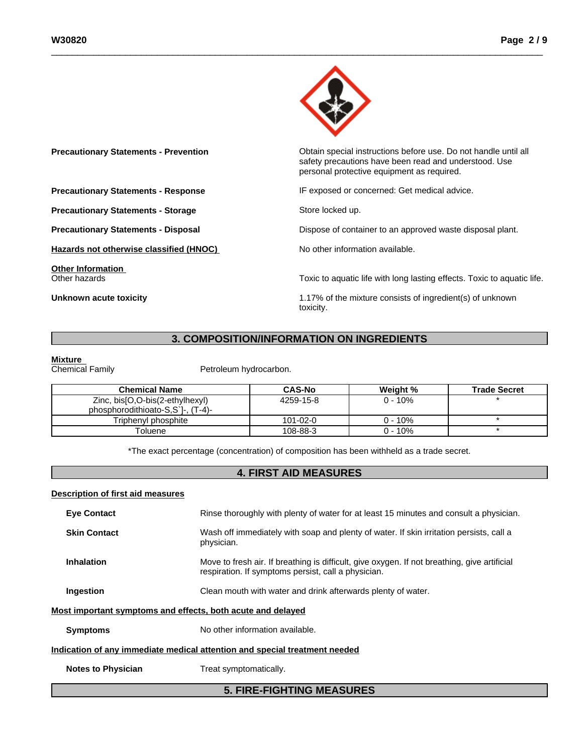

**Precautionary Statements - Prevention Contain Statements - Prevention Contain special instructions before use. Do not handle until all** safety precautions have been read and understood. Use personal protective equipment as required.**Precautionary Statements - Response IF exposed or concerned: Get medical advice. Precautionary Statements - Storage Store Store locked up. Precautionary Statements - Disposal** Dispose of container to an approved waste disposal plant. **Hazards not otherwise classified (HNOC)** No other information available. **Other Information** Toxic to aquatic life with long lasting effects. Toxic to aquatic life. **Unknown acute toxicity** 1.17% of the mixture consists of ingredient(s) of unknown toxicity.

# **3. COMPOSITION/INFORMATION ON INGREDIENTS**

**Mixture**<br>Chemical Family

Petroleum hydrocarbon.

| <b>Chemical Name</b>                                                 | <b>CAS-No</b>  | Weight %  | <b>Trade Secret</b> |
|----------------------------------------------------------------------|----------------|-----------|---------------------|
| Zinc, bis[O,O-bis(2-ethylhexyl)<br>phosphorodithioato-S,S'I-, (T-4)- | 4259-15-8      | 0 - 10%   |                     |
| Triphenyl phosphite                                                  | $101 - 02 - 0$ | $0 - 10%$ |                     |
| ⊺oluene                                                              | 108-88-3       | $0 - 10%$ |                     |

\*The exact percentage (concentration) of composition has been withheld as a trade secret.

# **4. FIRST AID MEASURES**

#### **Description of first aid measures**

| <b>Eye Contact</b>                                          | Rinse thoroughly with plenty of water for at least 15 minutes and consult a physician.                                                              |
|-------------------------------------------------------------|-----------------------------------------------------------------------------------------------------------------------------------------------------|
| <b>Skin Contact</b>                                         | Wash off immediately with soap and plenty of water. If skin irritation persists, call a<br>physician.                                               |
| <b>Inhalation</b>                                           | Move to fresh air. If breathing is difficult, give oxygen. If not breathing, give artificial<br>respiration. If symptoms persist, call a physician. |
| Ingestion                                                   | Clean mouth with water and drink afterwards plenty of water.                                                                                        |
| Most important symptoms and effects, both acute and delayed |                                                                                                                                                     |
| <b>Symptoms</b>                                             | No other information available.                                                                                                                     |
|                                                             | Indication of any immediate medical attention and special treatment needed                                                                          |
| <b>Notes to Physician</b>                                   | Treat symptomatically.                                                                                                                              |
|                                                             | <b>5. FIRE-FIGHTING MEASURES</b>                                                                                                                    |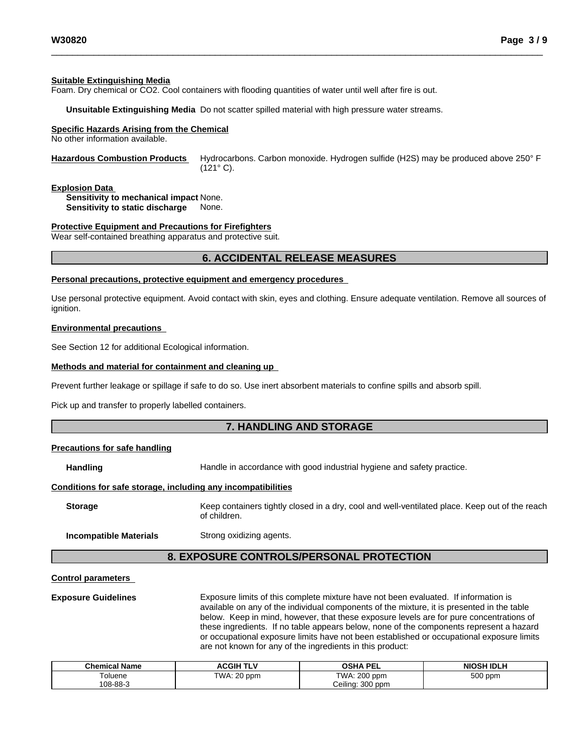#### **Suitable Extinguishing Media**

Foam. Dry chemical or CO2. Cool containers with flooding quantities of water until well after fire is out.

**Unsuitable Extinguishing Media** Do not scatter spilled material with high pressure water streams.

### **Specific Hazards Arising from the Chemical**

No other information available.

**Hazardous Combustion Products** Hydrocarbons. Carbon monoxide. Hydrogen sulfide (H2S) may be produced above 250° F (121° C).

#### **Explosion Data**

**Sensitivity to mechanical impact** None. **Sensitivity to static discharge** None.

#### **Protective Equipment and Precautions for Firefighters**

Wear self-contained breathing apparatus and protective suit.

### **6. ACCIDENTAL RELEASE MEASURES**

#### **Personal precautions, protective equipment and emergency procedures**

Use personal protective equipment.Avoid contact with skin, eyes and clothing. Ensure adequate ventilation. Remove all sources of ignition.

#### **Environmental precautions**

See Section 12 for additional Ecological information.

#### **Methods and material for containment and cleaning up**

Prevent further leakage or spillage if safe to do so. Use inert absorbent materials to confine spills and absorb spill.

Pick up and transfer to properly labelled containers.

# **7. HANDLING AND STORAGE**

#### **Precautions for safe handling**

**Handling** Handle in accordance with good industrial hygiene and safety practice.

#### **Conditions for safe storage, including any incompatibilities**

**Storage** Keep containers tightly closed in a dry, cool and well-ventilated place. Keep out of the reach of children.

**Incompatible Materials** Strong oxidizing agents.

# **8. EXPOSURE CONTROLS/PERSONAL PROTECTION**

#### **Control parameters**

**Exposure Guidelines** Exposure limits of this complete mixture have not been evaluated. If information is available on any of the individual components of the mixture, it is presented in the table below. Keep in mind, however, that these exposure levels are for pure concentrations of these ingredients. If no table appears below, none of the components represent a hazard or occupational exposure limits have not been established or occupational exposure limits are not known for any of the ingredients in this product:

| <b>Chemical Name</b> | <b>ACGIH TLV</b> | <b>OSHA PEL</b>       | <b>NIOSH IDLH</b> |
|----------------------|------------------|-----------------------|-------------------|
| oluene               | TWA: 20 ppm      | TWA: 200 ppm          | 500 ppm           |
| 108-88-3             |                  | $300$ ppm<br>Ceiling: |                   |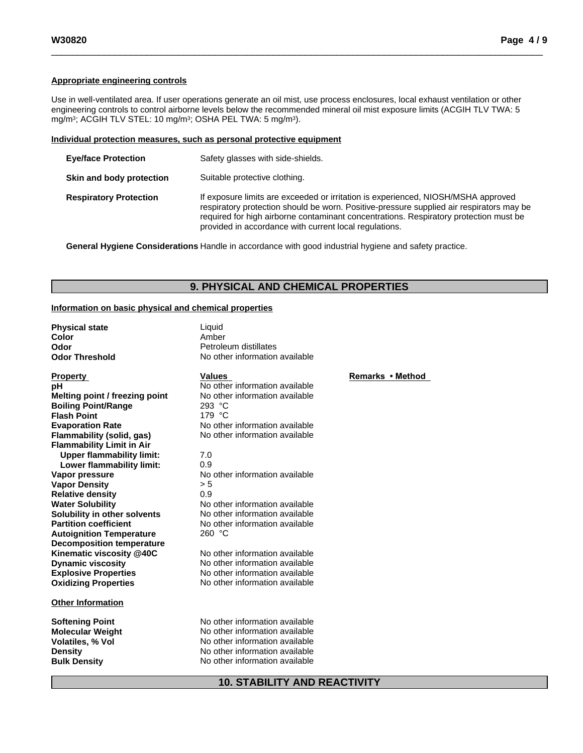### **Appropriate engineering controls**

Use in well-ventilated area. If user operations generate an oil mist, use process enclosures, local exhaust ventilation or other engineering controls to control airborne levels below the recommended mineral oil mist exposure limits (ACGIH TLV TWA: 5 mg/m3; ACGIH TLV STEL: 10 mg/m3; OSHA PEL TWA: 5 mg/m3).

#### **Individual protection measures, such as personal protective equipment**

| <b>Eye/face Protection</b>    | Safety glasses with side-shields.                                                                                                                                                                                                                                                                                                |
|-------------------------------|----------------------------------------------------------------------------------------------------------------------------------------------------------------------------------------------------------------------------------------------------------------------------------------------------------------------------------|
| Skin and body protection      | Suitable protective clothing.                                                                                                                                                                                                                                                                                                    |
| <b>Respiratory Protection</b> | If exposure limits are exceeded or irritation is experienced, NIOSH/MSHA approved<br>respiratory protection should be worn. Positive-pressure supplied air respirators may be<br>required for high airborne contaminant concentrations. Respiratory protection must be<br>provided in accordance with current local regulations. |

**General Hygiene Considerations** Handle in accordance with good industrial hygiene and safety practice.

# **9. PHYSICAL AND CHEMICAL PROPERTIES**

#### **Information on basic physical and chemical properties**

| <b>Physical state</b>            | Liquid                         |                  |
|----------------------------------|--------------------------------|------------------|
| Color                            | Amber                          |                  |
| Odor                             | Petroleum distillates          |                  |
| <b>Odor Threshold</b>            | No other information available |                  |
| <b>Property</b>                  | <b>Values</b>                  | Remarks • Method |
| рH                               | No other information available |                  |
| Melting point / freezing point   | No other information available |                  |
| <b>Boiling Point/Range</b>       | 293 °C                         |                  |
| <b>Flash Point</b>               | 179 °C                         |                  |
| <b>Evaporation Rate</b>          | No other information available |                  |
| Flammability (solid, gas)        | No other information available |                  |
| <b>Flammability Limit in Air</b> |                                |                  |
| <b>Upper flammability limit:</b> | 7.0                            |                  |
| Lower flammability limit:        | 0.9                            |                  |
| Vapor pressure                   | No other information available |                  |
| <b>Vapor Density</b>             | > 5                            |                  |
| <b>Relative density</b>          | 0.9                            |                  |
| <b>Water Solubility</b>          | No other information available |                  |
| Solubility in other solvents     | No other information available |                  |
| <b>Partition coefficient</b>     | No other information available |                  |
| <b>Autoignition Temperature</b>  | 260 °C                         |                  |
| <b>Decomposition temperature</b> |                                |                  |
| Kinematic viscosity @40C         | No other information available |                  |
| <b>Dynamic viscosity</b>         | No other information available |                  |
| <b>Explosive Properties</b>      | No other information available |                  |
| <b>Oxidizing Properties</b>      | No other information available |                  |
| <b>Other Information</b>         |                                |                  |
| <b>Softening Point</b>           | No other information available |                  |
| <b>Molecular Weight</b>          | No other information available |                  |
| <b>Volatiles, % Vol</b>          | No other information available |                  |
| <b>Density</b>                   | No other information available |                  |
| <b>Bulk Density</b>              | No other information available |                  |
|                                  |                                |                  |

# **10. STABILITY AND REACTIVITY**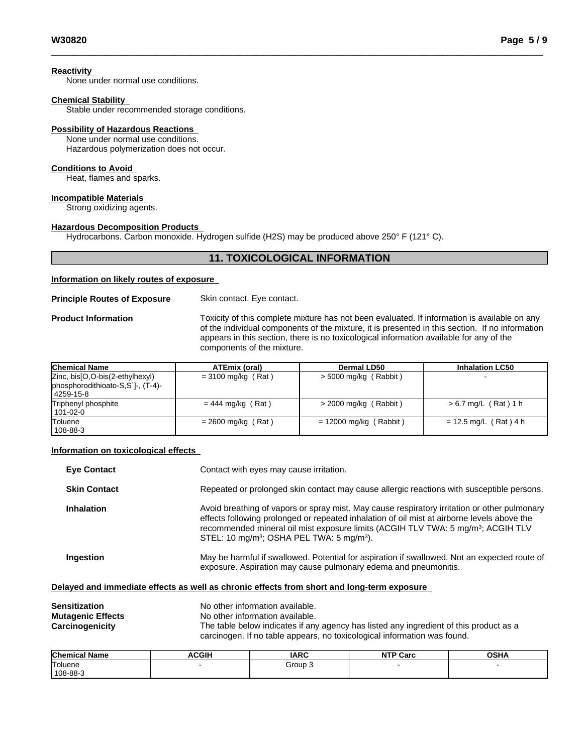**Reactivity**

None under normal use conditions.

#### **Chemical Stability**

Stable under recommended storage conditions.

### **Possibility of Hazardous Reactions**

None under normal use conditions. Hazardous polymerization does not occur.

#### **Conditions to Avoid**

Heat, flames and sparks.

#### **Incompatible Materials**

Strong oxidizing agents.

#### **Hazardous Decomposition Products**

Hydrocarbons. Carbon monoxide. Hydrogen sulfide (H2S) may be produced above 250° F (121° C).

# **11. TOXICOLOGICAL INFORMATION**

#### **Information on likely routes of exposure**

#### **Principle Routes of Exposure** Skin contact. Eye contact.

**Product Information** Toxicity of this complete mixture has not been evaluated. If information is available on any of the individual components of the mixture, it is presented in this section. If no information appears in this section, there is no toxicological information available for any of the components of the mixture.

| <b>Chemical Name</b>                                                              | ATEmix (oral)        | Dermal LD50              | <b>Inhalation LC50</b>  |
|-----------------------------------------------------------------------------------|----------------------|--------------------------|-------------------------|
| Zinc, bis[O,O-bis(2-ethylhexyl)<br>phosphorodithioato-S,S`]-, (T-4)-<br>4259-15-8 | $=$ 3100 mg/kg (Rat) | > 5000 mg/kg (Rabbit)    |                         |
| Triphenyl phosphite<br>101-02-0                                                   | $= 444$ mg/kg (Rat)  | $>$ 2000 mg/kg (Rabbit)  | $> 6.7$ mg/L (Rat) 1 h  |
| <b>Toluene</b><br>108-88-3                                                        | $= 2600$ mg/kg (Rat) | $= 12000$ mg/kg (Rabbit) | $= 12.5$ mg/L (Rat) 4 h |

### **Information on toxicological effects**

| <b>Eye Contact</b>  | Contact with eyes may cause irritation.                                                                                                                                                                                                                                                                                                                          |
|---------------------|------------------------------------------------------------------------------------------------------------------------------------------------------------------------------------------------------------------------------------------------------------------------------------------------------------------------------------------------------------------|
| <b>Skin Contact</b> | Repeated or prolonged skin contact may cause allergic reactions with susceptible persons.                                                                                                                                                                                                                                                                        |
| <b>Inhalation</b>   | Avoid breathing of vapors or spray mist. May cause respiratory irritation or other pulmonary<br>effects following prolonged or repeated inhalation of oil mist at airborne levels above the<br>recommended mineral oil mist exposure limits (ACGIH TLV TWA: 5 mg/m <sup>3</sup> ; ACGIH TLV<br>STEL: 10 mg/m <sup>3</sup> ; OSHA PEL TWA: 5 mg/m <sup>3</sup> ). |
| Ingestion           | May be harmful if swallowed. Potential for aspiration if swallowed. Not an expected route of<br>exposure. Aspiration may cause pulmonary edema and pneumonitis.                                                                                                                                                                                                  |
|                     | Delayed and immediate effects as well as chronic effects from short and long-term exposure                                                                                                                                                                                                                                                                       |

| Sensitization            | No other information available.                                                        |
|--------------------------|----------------------------------------------------------------------------------------|
| <b>Mutagenic Effects</b> | No other information available.                                                        |
| Carcinogenicity          | The table below indicates if any agency has listed any ingredient of this product as a |
|                          | carcinogen. If no table appears, no toxicological information was found.               |

| <b>Chemical Name</b> | <b>ACGIH</b> | <b>IARC</b> | NTP<br>Carc | <b>OCUA</b><br>UJNA |
|----------------------|--------------|-------------|-------------|---------------------|
| Toluene              |              | Group       |             |                     |
| 108-88-3             |              |             |             |                     |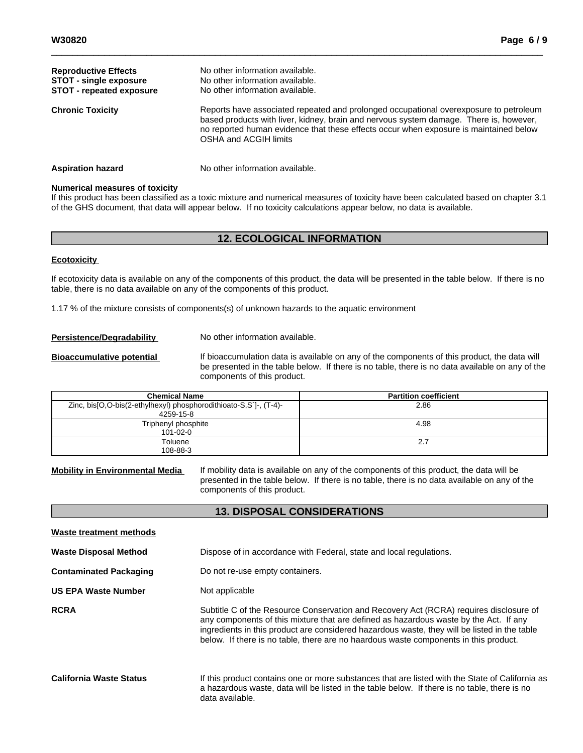| <b>Reproductive Effects</b><br><b>STOT - single exposure</b><br><b>STOT - repeated exposure</b> | No other information available.<br>No other information available.<br>No other information available.                                                                                                                                                                                             |
|-------------------------------------------------------------------------------------------------|---------------------------------------------------------------------------------------------------------------------------------------------------------------------------------------------------------------------------------------------------------------------------------------------------|
| <b>Chronic Toxicity</b>                                                                         | Reports have associated repeated and prolonged occupational overexposure to petroleum<br>based products with liver, kidney, brain and nervous system damage. There is, however,<br>no reported human evidence that these effects occur when exposure is maintained below<br>OSHA and ACGIH limits |
| <b>Aspiration hazard</b>                                                                        | No other information available.                                                                                                                                                                                                                                                                   |

#### **Numerical measures of toxicity**

If this product has been classified as a toxic mixture and numerical measures of toxicity have been calculated based on chapter 3.1 of the GHS document, that data will appear below. If no toxicity calculations appear below, no data is available.

# **12. ECOLOGICAL INFORMATION**

#### **Ecotoxicity**

If ecotoxicity data is available on any of the components of this product, the data will be presented in the table below. If there is no table, there is no data available on any of the components of this product.

1.17 % of the mixture consists of components(s) of unknown hazards to the aquatic environment

**Persistence/Degradability** No other information available.

**Bioaccumulative potential** If bioaccumulation data is available on any of the components of this product, the data will be presented in the table below. If there is no table, there is no data available on any of the components of this product.

| <b>Chemical Name</b>                                              | <b>Partition coefficient</b> |
|-------------------------------------------------------------------|------------------------------|
| Zinc, bis[O,O-bis(2-ethylhexyl) phosphorodithioato-S,S`]-, (T-4)- | 2.86                         |
| 4259-15-8                                                         |                              |
| Triphenyl phosphite                                               | 4.98                         |
| $101 - 02 - 0$                                                    |                              |
| Toluene                                                           | 2.7                          |
| 108-88-3                                                          |                              |

**Mobility in Environmental Media** If mobility data is available on any of the components of this product, the data will be presented in the table below. If there is no table, there is no data available on any of the components of this product.

# **13. DISPOSAL CONSIDERATIONS**

| Waste treatment methods        |                                                                                                                                                                                                                                                                                                                                                                         |
|--------------------------------|-------------------------------------------------------------------------------------------------------------------------------------------------------------------------------------------------------------------------------------------------------------------------------------------------------------------------------------------------------------------------|
| <b>Waste Disposal Method</b>   | Dispose of in accordance with Federal, state and local regulations.                                                                                                                                                                                                                                                                                                     |
| <b>Contaminated Packaging</b>  | Do not re-use empty containers.                                                                                                                                                                                                                                                                                                                                         |
| <b>US EPA Waste Number</b>     | Not applicable                                                                                                                                                                                                                                                                                                                                                          |
| <b>RCRA</b>                    | Subtitle C of the Resource Conservation and Recovery Act (RCRA) requires disclosure of<br>any components of this mixture that are defined as hazardous waste by the Act. If any<br>ingredients in this product are considered hazardous waste, they will be listed in the table<br>below. If there is no table, there are no haardous waste components in this product. |
| <b>California Waste Status</b> | If this product contains one or more substances that are listed with the State of California as<br>a hazardous waste, data will be listed in the table below. If there is no table, there is no<br>data available.                                                                                                                                                      |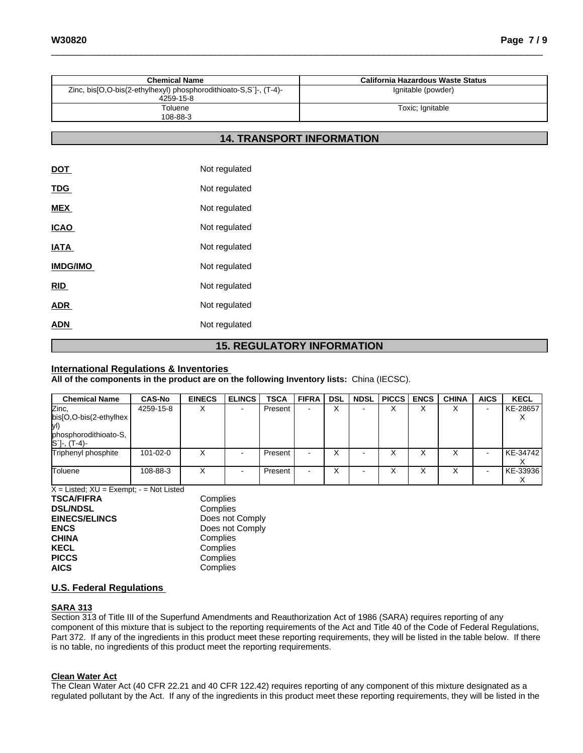|            | <b>Chemical Name</b>                                                           | <b>California Hazardous Waste Status</b> |
|------------|--------------------------------------------------------------------------------|------------------------------------------|
|            | Zinc, bis[O,O-bis(2-ethylhexyl) phosphorodithioato-S,S`]-, (T-4)-<br>4259-15-8 | Ignitable (powder)                       |
|            | Toluene<br>108-88-3                                                            | Toxic; Ignitable                         |
|            | <b>14. TRANSPORT INFORMATION</b>                                               |                                          |
|            |                                                                                |                                          |
| <b>DOT</b> | Not regulated                                                                  |                                          |
| <b>TDG</b> | Not regulated                                                                  |                                          |
| <b>MEX</b> | Not regulated                                                                  |                                          |

| <b>15. REGULATORY INFORMATION</b> |  |
|-----------------------------------|--|
|                                   |  |

### **International Regulations & Inventories**

**ICAO** Not regulated

**IATA** Not regulated

**IMDG/IMO** Not regulated

**RID** Not regulated

**ADR** Not regulated

ADN Not regulated

**All of the components in the product are on the following Inventory lists:** China (IECSC).

| <b>Chemical Name</b>                                | <b>CAS-No</b> | <b>EINECS</b> | <b>ELINCS</b> | <b>TSCA</b> | <b>FIFRA</b> | <b>DSL</b> | <b>NDSL</b> | <b>PICCS ENCS</b> | <b>CHINA</b> | <b>AICS</b>              | <b>KECL</b> |
|-----------------------------------------------------|---------------|---------------|---------------|-------------|--------------|------------|-------------|-------------------|--------------|--------------------------|-------------|
| Zinc,                                               | 4259-15-8     | ⋏             |               | Present     |              | ⌒          |             |                   |              |                          | KE-28657    |
| $bis[O,O-bis(2-ethylhex]$                           |               |               |               |             |              |            |             |                   |              |                          | $\lambda$   |
| lvI)                                                |               |               |               |             |              |            |             |                   |              |                          |             |
| phosphorodithioato-S,<br>$[S^{\cdot}]$ -, $(T-4)$ - |               |               |               |             |              |            |             |                   |              |                          |             |
| Triphenyl phosphite                                 | 101-02-0      |               |               | Present     |              | ∧          |             |                   |              |                          | KE-34742    |
| Toluene                                             | 108-88-3      |               |               | Present     |              | ⌒          |             |                   |              | $\overline{\phantom{0}}$ | KE-33936    |

 $\overline{X}$  = Listed;  $XU$  = Exempt; - = Not Listed

| Complies        |
|-----------------|
| Complies        |
| Does not Comply |
| Does not Comply |
| Complies        |
| Complies        |
| Complies        |
| Complies        |
|                 |

# **U.S. Federal Regulations**

### **SARA 313**

Section 313 of Title III of the Superfund Amendments and Reauthorization Act of 1986 (SARA) requires reporting of any component of this mixture that is subject to the reporting requirements of the Act and Title 40 of the Code of Federal Regulations, Part 372. If any of the ingredients in this product meet these reporting requirements, they will be listed in the table below. If there is no table, no ingredients of this product meet the reporting requirements.

#### **Clean Water Act**

The Clean Water Act (40 CFR 22.21 and 40 CFR 122.42) requires reporting of any component of this mixture designated as a regulated pollutant by the Act. If any of the ingredients in this product meet these reporting requirements, they will be listed in the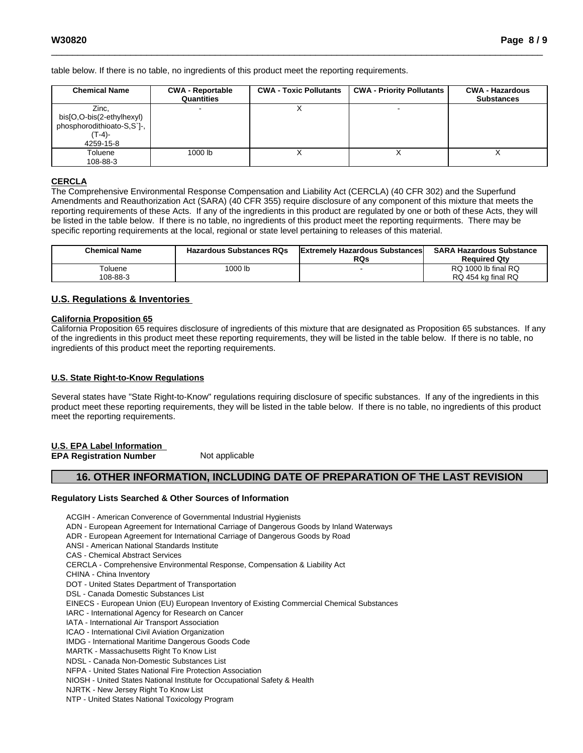table below. If there is no table, no ingredients of this product meet the reporting requirements.

| <b>Chemical Name</b>                                                                       | <b>CWA - Reportable</b><br>Quantities | <b>CWA - Toxic Pollutants</b> | <b>CWA - Priority Pollutants</b> | <b>CWA - Hazardous</b><br><b>Substances</b> |
|--------------------------------------------------------------------------------------------|---------------------------------------|-------------------------------|----------------------------------|---------------------------------------------|
| Zinc,<br>bis[O,O-bis(2-ethylhexyl)<br>phosphorodithioato-S,S`]-,<br>$(T-4)$ -<br>4259-15-8 |                                       |                               |                                  |                                             |
| Toluene<br>108-88-3                                                                        | 1000 lb                               |                               | $\lambda$                        | $\lambda$                                   |

#### **CERCLA**

The Comprehensive Environmental Response Compensation and Liability Act(CERCLA) (40 CFR 302) and the Superfund Amendments and Reauthorization Act (SARA) (40 CFR 355) require disclosure of any component of this mixture that meets the reporting requirements of these Acts. If any of the ingredients in this product are regulated by one or both of these Acts, they will be listed in the table below. If there is no table, no ingredients of this product meet the reporting requirments. There may be specific reporting requirements at the local, regional or state level pertaining to releases of this material.

| <b>Chemical Name</b> | <b>Hazardous Substances RQs</b> | <b>Extremely Hazardous Substances</b><br><b>RQs</b> | <b>SARA Hazardous Substance</b><br><b>Reauired Qtv</b> |
|----------------------|---------------------------------|-----------------------------------------------------|--------------------------------------------------------|
| <sup>-</sup> oluene  | 1000 lb                         |                                                     | RQ 1000 lb final RQ                                    |
| 108-88-3             |                                 |                                                     | RQ 454 kg final RQ                                     |

### **U.S. Regulations & Inventories**

#### **California Proposition 65**

California Proposition 65 requires disclosure of ingredients of this mixture that are designated as Proposition 65 substances. If any of the ingredients in this product meet these reporting requirements, they will be listed in the table below. If there is no table, no ingredients of this product meet the reporting requirements.

#### **U.S. State Right-to-Know Regulations**

Several states have "State Right-to-Know" regulations requiring disclosure of specific substances. If any of the ingredients in this product meet these reporting requirements, they will be listed in the table below. If there is no table, no ingredients of this product meet the reporting requirements.

# **U.S. EPA Label Information**

**EPA** Registration **Number** Not applicable

# **16. OTHER INFORMATION, INCLUDING DATE OF PREPARATION OF THE LAST REVISION**

#### **Regulatory Lists Searched & Other Sources of Information**

ACGIH - American Converence of Governmental Industrial Hygienists ADN - European Agreement for International Carriage of Dangerous Goods by Inland Waterways ADR - European Agreement for International Carriage of Dangerous Goods by Road ANSI - American National Standards Institute CAS - Chemical Abstract Services CERCLA - Comprehensive Environmental Response, Compensation & Liability Act CHINA - China Inventory DOT - United States Department of Transportation DSL - Canada Domestic Substances List EINECS - European Union (EU) European Inventory of Existing Commercial Chemical Substances IARC - International Agency for Research on Cancer IATA - International Air Transport Association ICAO - International Civil Aviation Organization IMDG - International Maritime Dangerous Goods Code MARTK - Massachusetts Right To Know List NDSL - Canada Non-Domestic Substances List NFPA - United States National Fire Protection Association NIOSH - United States National Institute for Occupational Safety & Health NJRTK - New Jersey Right To Know List NTP - United States National Toxicology Program